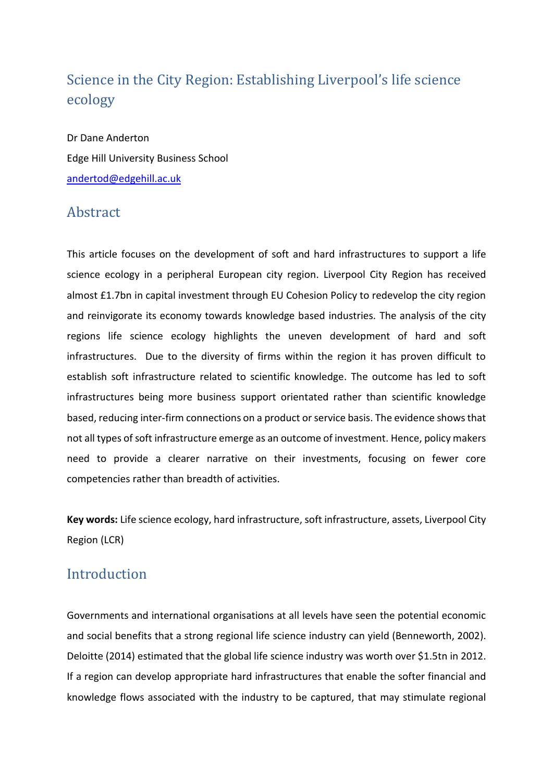# Science in the City Region: Establishing Liverpool's life science ecology

Dr Dane Anderton Edge Hill University Business School [andertod@edgehill.ac.uk](mailto:andertod@edgehill.ac.uk)

## Abstract

This article focuses on the development of soft and hard infrastructures to support a life science ecology in a peripheral European city region. Liverpool City Region has received almost £1.7bn in capital investment through EU Cohesion Policy to redevelop the city region and reinvigorate its economy towards knowledge based industries. The analysis of the city regions life science ecology highlights the uneven development of hard and soft infrastructures. Due to the diversity of firms within the region it has proven difficult to establish soft infrastructure related to scientific knowledge. The outcome has led to soft infrastructures being more business support orientated rather than scientific knowledge based, reducing inter-firm connections on a product or service basis. The evidence shows that not all types of soft infrastructure emerge as an outcome of investment. Hence, policy makers need to provide a clearer narrative on their investments, focusing on fewer core competencies rather than breadth of activities.

**Key words:** Life science ecology, hard infrastructure, soft infrastructure, assets, Liverpool City Region (LCR)

### Introduction

Governments and international organisations at all levels have seen the potential economic and social benefits that a strong regional life science industry can yield (Benneworth, 2002). Deloitte (2014) estimated that the global life science industry was worth over \$1.5tn in 2012. If a region can develop appropriate hard infrastructures that enable the softer financial and knowledge flows associated with the industry to be captured, that may stimulate regional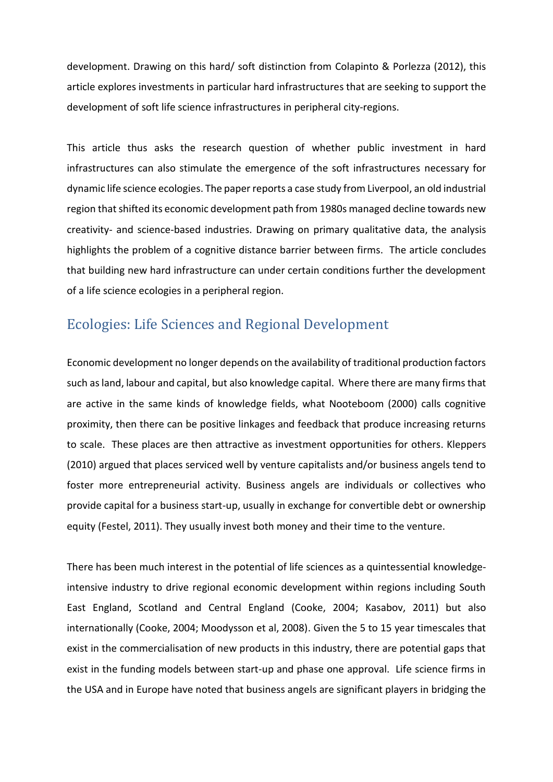development. Drawing on this hard/ soft distinction from Colapinto & Porlezza (2012), this article explores investments in particular hard infrastructures that are seeking to support the development of soft life science infrastructures in peripheral city-regions.

This article thus asks the research question of whether public investment in hard infrastructures can also stimulate the emergence of the soft infrastructures necessary for dynamic life science ecologies. The paper reports a case study from Liverpool, an old industrial region that shifted its economic development path from 1980s managed decline towards new creativity- and science-based industries. Drawing on primary qualitative data, the analysis highlights the problem of a cognitive distance barrier between firms. The article concludes that building new hard infrastructure can under certain conditions further the development of a life science ecologies in a peripheral region.

# Ecologies: Life Sciences and Regional Development

Economic development no longer depends on the availability of traditional production factors such as land, labour and capital, but also knowledge capital. Where there are many firms that are active in the same kinds of knowledge fields, what Nooteboom (2000) calls cognitive proximity, then there can be positive linkages and feedback that produce increasing returns to scale. These places are then attractive as investment opportunities for others. Kleppers (2010) argued that places serviced well by venture capitalists and/or business angels tend to foster more entrepreneurial activity. Business angels are individuals or collectives who provide capital for a business start-up, usually in exchange for convertible debt or ownership equity (Festel, 2011). They usually invest both money and their time to the venture.

There has been much interest in the potential of life sciences as a quintessential knowledgeintensive industry to drive regional economic development within regions including South East England, Scotland and Central England (Cooke, 2004; Kasabov, 2011) but also internationally (Cooke, 2004; Moodysson et al, 2008). Given the 5 to 15 year timescales that exist in the commercialisation of new products in this industry, there are potential gaps that exist in the funding models between start-up and phase one approval. Life science firms in the USA and in Europe have noted that business angels are significant players in bridging the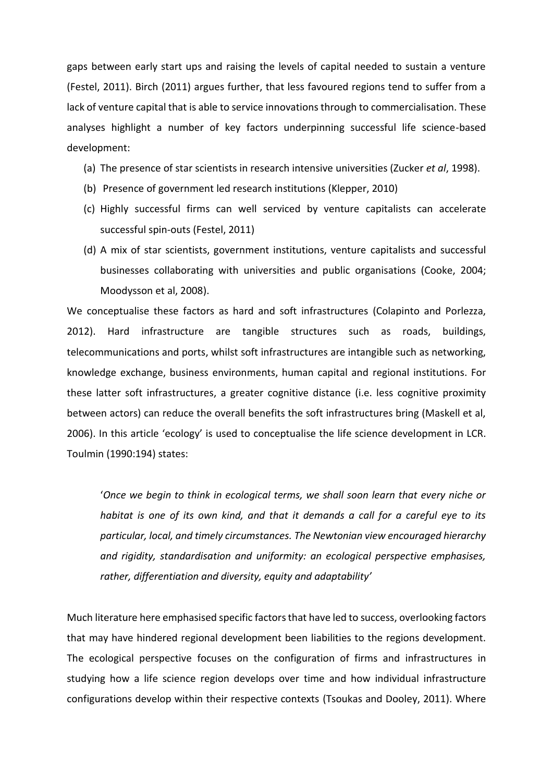gaps between early start ups and raising the levels of capital needed to sustain a venture (Festel, 2011). Birch (2011) argues further, that less favoured regions tend to suffer from a lack of venture capital that is able to service innovations through to commercialisation. These analyses highlight a number of key factors underpinning successful life science-based development:

- (a) The presence of star scientists in research intensive universities (Zucker *et al*, 1998).
- (b) Presence of government led research institutions (Klepper, 2010)
- (c) Highly successful firms can well serviced by venture capitalists can accelerate successful spin-outs (Festel, 2011)
- (d) A mix of star scientists, government institutions, venture capitalists and successful businesses collaborating with universities and public organisations (Cooke, 2004; Moodysson et al, 2008).

We conceptualise these factors as hard and soft infrastructures (Colapinto and Porlezza, 2012). Hard infrastructure are tangible structures such as roads, buildings, telecommunications and ports, whilst soft infrastructures are intangible such as networking, knowledge exchange, business environments, human capital and regional institutions. For these latter soft infrastructures, a greater cognitive distance (i.e. less cognitive proximity between actors) can reduce the overall benefits the soft infrastructures bring (Maskell et al, 2006). In this article 'ecology' is used to conceptualise the life science development in LCR. Toulmin (1990:194) states:

'*Once we begin to think in ecological terms, we shall soon learn that every niche or habitat is one of its own kind, and that it demands a call for a careful eye to its particular, local, and timely circumstances. The Newtonian view encouraged hierarchy and rigidity, standardisation and uniformity: an ecological perspective emphasises, rather, differentiation and diversity, equity and adaptability'* 

Much literature here emphasised specific factors that have led to success, overlooking factors that may have hindered regional development been liabilities to the regions development. The ecological perspective focuses on the configuration of firms and infrastructures in studying how a life science region develops over time and how individual infrastructure configurations develop within their respective contexts (Tsoukas and Dooley, 2011). Where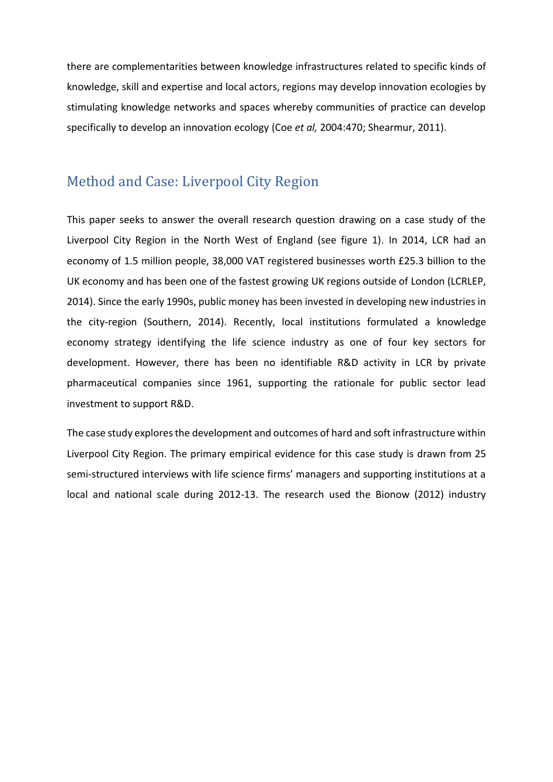there are complementarities between knowledge infrastructures related to specific kinds of knowledge, skill and expertise and local actors, regions may develop innovation ecologies by stimulating knowledge networks and spaces whereby communities of practice can develop specifically to develop an innovation ecology (Coe *et al,* 2004:470; Shearmur, 2011).

## Method and Case: Liverpool City Region

This paper seeks to answer the overall research question drawing on a case study of the Liverpool City Region in the North West of England (see figure 1). In 2014, LCR had an economy of 1.5 million people, 38,000 VAT registered businesses worth £25.3 billion to the UK economy and has been one of the fastest growing UK regions outside of London (LCRLEP, 2014). Since the early 1990s, public money has been invested in developing new industries in the city-region (Southern, 2014). Recently, local institutions formulated a knowledge economy strategy identifying the life science industry as one of four key sectors for development. However, there has been no identifiable R&D activity in LCR by private pharmaceutical companies since 1961, supporting the rationale for public sector lead investment to support R&D.

The case study explores the development and outcomes of hard and soft infrastructure within Liverpool City Region. The primary empirical evidence for this case study is drawn from 25 semi-structured interviews with life science firms' managers and supporting institutions at a local and national scale during 2012-13. The research used the Bionow (2012) industry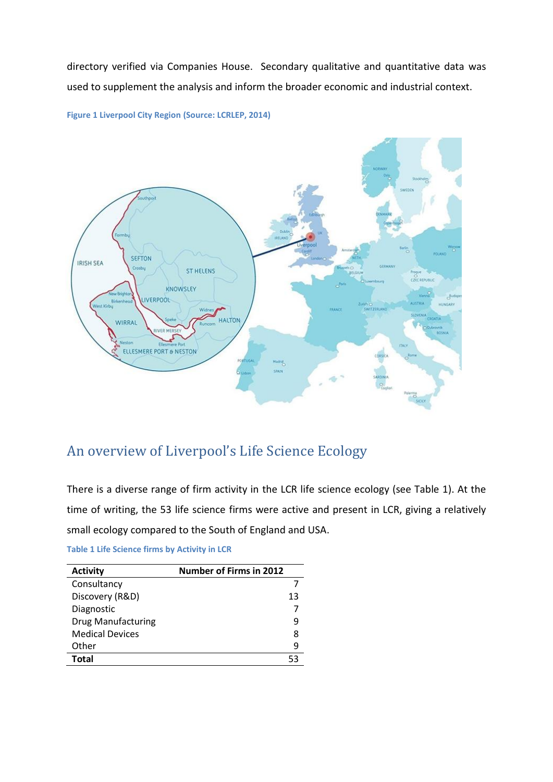directory verified via Companies House. Secondary qualitative and quantitative data was used to supplement the analysis and inform the broader economic and industrial context.





# An overview of Liverpool's Life Science Ecology

There is a diverse range of firm activity in the LCR life science ecology (see Table 1). At the time of writing, the 53 life science firms were active and present in LCR, giving a relatively small ecology compared to the South of England and USA.

|  | <b>Table 1 Life Science firms by Activity in LCR</b> |  |  |  |
|--|------------------------------------------------------|--|--|--|
|--|------------------------------------------------------|--|--|--|

| <b>Activity</b>           | <b>Number of Firms in 2012</b> |
|---------------------------|--------------------------------|
| Consultancy               |                                |
| Discovery (R&D)           | 13                             |
| Diagnostic                |                                |
| <b>Drug Manufacturing</b> | q                              |
| <b>Medical Devices</b>    | 8                              |
| Other                     | 9                              |
| Total                     |                                |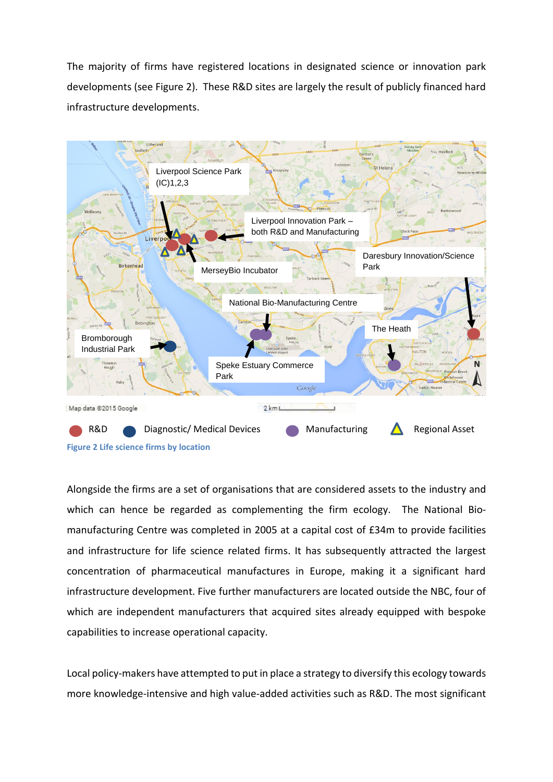The majority of firms have registered locations in designated science or innovation park developments (see Figure 2). These R&D sites are largely the result of publicly financed hard infrastructure developments.



Alongside the firms are a set of organisations that are considered assets to the industry and which can hence be regarded as complementing the firm ecology. The National Biomanufacturing Centre was completed in 2005 at a capital cost of £34m to provide facilities and infrastructure for life science related firms. It has subsequently attracted the largest concentration of pharmaceutical manufactures in Europe, making it a significant hard infrastructure development. Five further manufacturers are located outside the NBC, four of which are independent manufacturers that acquired sites already equipped with bespoke capabilities to increase operational capacity.

Local policy-makers have attempted to put in place a strategy to diversify this ecology towards more knowledge-intensive and high value-added activities such as R&D. The most significant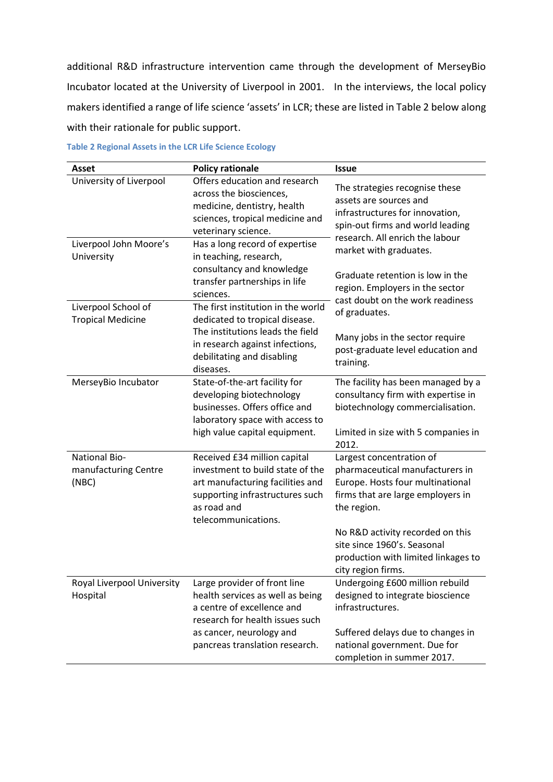additional R&D infrastructure intervention came through the development of MerseyBio Incubator located at the University of Liverpool in 2001. In the interviews, the local policy makers identified a range of life science 'assets' in LCR; these are listed in Table 2 below along with their rationale for public support.

| <b>Asset</b>                                          | <b>Policy rationale</b>                                                                                                                                                       | <b>Issue</b>                                                                                                                                        |  |
|-------------------------------------------------------|-------------------------------------------------------------------------------------------------------------------------------------------------------------------------------|-----------------------------------------------------------------------------------------------------------------------------------------------------|--|
| University of Liverpool                               | Offers education and research<br>across the biosciences,<br>medicine, dentistry, health<br>sciences, tropical medicine and<br>veterinary science.                             | The strategies recognise these<br>assets are sources and<br>infrastructures for innovation,<br>spin-out firms and world leading                     |  |
| Liverpool John Moore's<br>University                  | Has a long record of expertise<br>in teaching, research,                                                                                                                      | research. All enrich the labour<br>market with graduates.                                                                                           |  |
| Liverpool School of                                   | consultancy and knowledge<br>transfer partnerships in life<br>sciences.<br>The first institution in the world                                                                 | Graduate retention is low in the<br>region. Employers in the sector<br>cast doubt on the work readiness<br>of graduates.                            |  |
| <b>Tropical Medicine</b>                              | dedicated to tropical disease.<br>The institutions leads the field<br>in research against infections,<br>debilitating and disabling<br>diseases.                              | Many jobs in the sector require<br>post-graduate level education and<br>training.                                                                   |  |
| MerseyBio Incubator                                   | State-of-the-art facility for<br>developing biotechnology<br>businesses. Offers office and<br>laboratory space with access to                                                 | The facility has been managed by a<br>consultancy firm with expertise in<br>biotechnology commercialisation.                                        |  |
|                                                       | high value capital equipment.                                                                                                                                                 | Limited in size with 5 companies in<br>2012.                                                                                                        |  |
| <b>National Bio-</b><br>manufacturing Centre<br>(NBC) | Received £34 million capital<br>investment to build state of the<br>art manufacturing facilities and<br>supporting infrastructures such<br>as road and<br>telecommunications. | Largest concentration of<br>pharmaceutical manufacturers in<br>Europe. Hosts four multinational<br>firms that are large employers in<br>the region. |  |
|                                                       |                                                                                                                                                                               | No R&D activity recorded on this<br>site since 1960's. Seasonal<br>production with limited linkages to<br>city region firms.                        |  |
| Royal Liverpool University<br>Hospital                | Large provider of front line<br>health services as well as being<br>a centre of excellence and<br>research for health issues such                                             | Undergoing £600 million rebuild<br>designed to integrate bioscience<br>infrastructures.                                                             |  |
|                                                       | as cancer, neurology and<br>pancreas translation research.                                                                                                                    | Suffered delays due to changes in<br>national government. Due for<br>completion in summer 2017.                                                     |  |

#### **Table 2 Regional Assets in the LCR Life Science Ecology**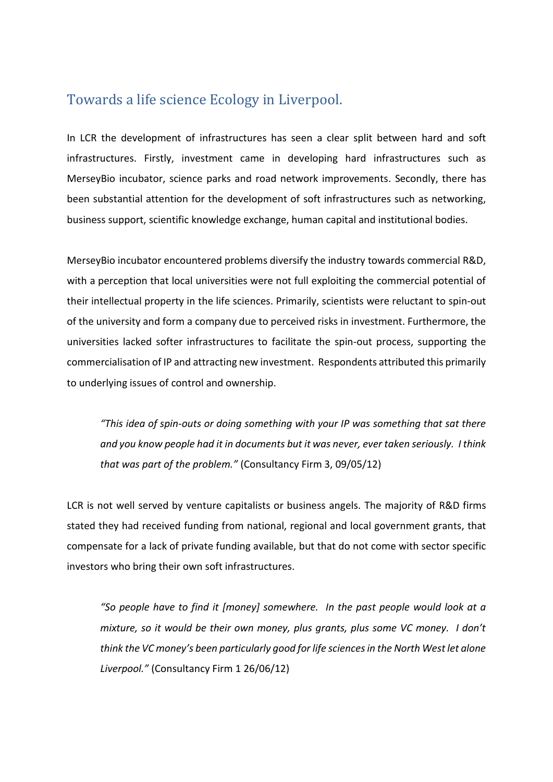## Towards a life science Ecology in Liverpool.

In LCR the development of infrastructures has seen a clear split between hard and soft infrastructures. Firstly, investment came in developing hard infrastructures such as MerseyBio incubator, science parks and road network improvements. Secondly, there has been substantial attention for the development of soft infrastructures such as networking, business support, scientific knowledge exchange, human capital and institutional bodies.

MerseyBio incubator encountered problems diversify the industry towards commercial R&D, with a perception that local universities were not full exploiting the commercial potential of their intellectual property in the life sciences. Primarily, scientists were reluctant to spin-out of the university and form a company due to perceived risks in investment. Furthermore, the universities lacked softer infrastructures to facilitate the spin-out process, supporting the commercialisation of IP and attracting new investment. Respondents attributed this primarily to underlying issues of control and ownership.

*"This idea of spin-outs or doing something with your IP was something that sat there and you know people had it in documents but it was never, ever taken seriously. I think that was part of the problem."* (Consultancy Firm 3, 09/05/12)

LCR is not well served by venture capitalists or business angels. The majority of R&D firms stated they had received funding from national, regional and local government grants, that compensate for a lack of private funding available, but that do not come with sector specific investors who bring their own soft infrastructures.

*"So people have to find it [money] somewhere. In the past people would look at a mixture, so it would be their own money, plus grants, plus some VC money. I don't think the VC money's been particularly good for life sciences in the North West let alone Liverpool."* (Consultancy Firm 1 26/06/12)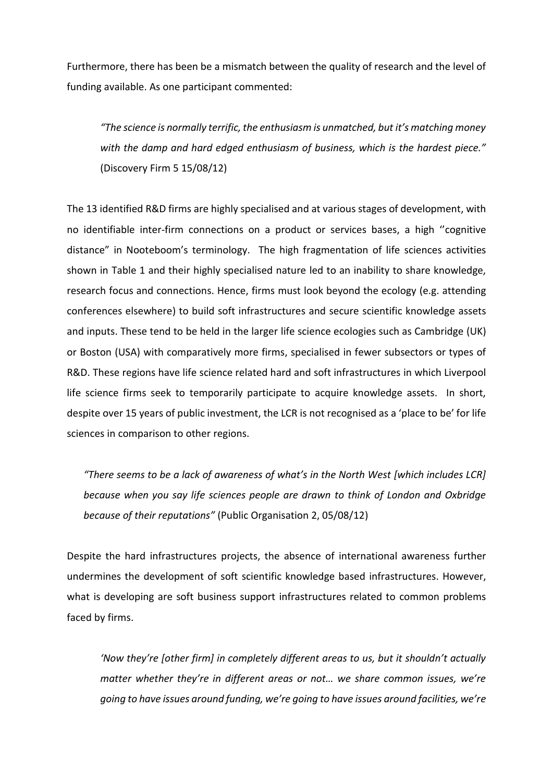Furthermore, there has been be a mismatch between the quality of research and the level of funding available. As one participant commented:

*"The science is normally terrific, the enthusiasm is unmatched, but it's matching money with the damp and hard edged enthusiasm of business, which is the hardest piece."* (Discovery Firm 5 15/08/12)

The 13 identified R&D firms are highly specialised and at various stages of development, with no identifiable inter-firm connections on a product or services bases, a high ''cognitive distance" in Nooteboom's terminology. The high fragmentation of life sciences activities shown in Table 1 and their highly specialised nature led to an inability to share knowledge, research focus and connections. Hence, firms must look beyond the ecology (e.g. attending conferences elsewhere) to build soft infrastructures and secure scientific knowledge assets and inputs. These tend to be held in the larger life science ecologies such as Cambridge (UK) or Boston (USA) with comparatively more firms, specialised in fewer subsectors or types of R&D. These regions have life science related hard and soft infrastructures in which Liverpool life science firms seek to temporarily participate to acquire knowledge assets. In short, despite over 15 years of public investment, the LCR is not recognised as a 'place to be' for life sciences in comparison to other regions.

*"There seems to be a lack of awareness of what's in the North West [which includes LCR] because when you say life sciences people are drawn to think of London and Oxbridge because of their reputations"* (Public Organisation 2, 05/08/12)

Despite the hard infrastructures projects, the absence of international awareness further undermines the development of soft scientific knowledge based infrastructures. However, what is developing are soft business support infrastructures related to common problems faced by firms.

*'Now they're [other firm] in completely different areas to us, but it shouldn't actually matter whether they're in different areas or not… we share common issues, we're going to have issues around funding, we're going to have issues around facilities, we're*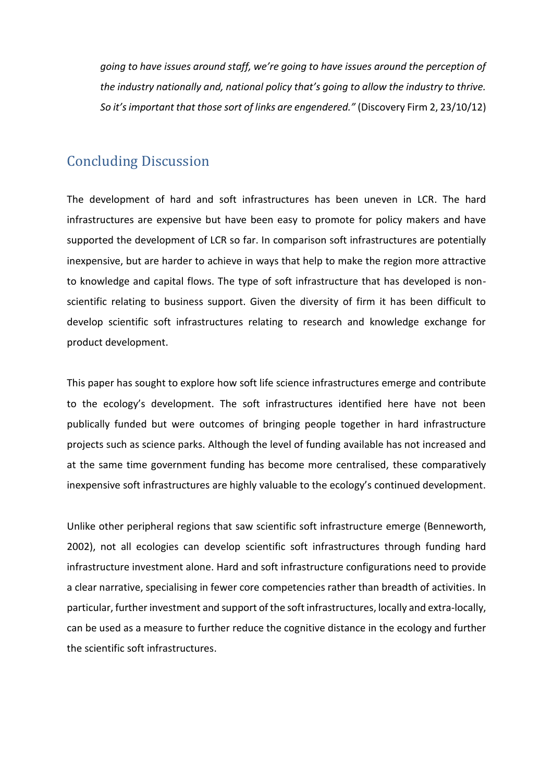*going to have issues around staff, we're going to have issues around the perception of the industry nationally and, national policy that's going to allow the industry to thrive. So it's important that those sort of links are engendered."* (Discovery Firm 2, 23/10/12)

## Concluding Discussion

The development of hard and soft infrastructures has been uneven in LCR. The hard infrastructures are expensive but have been easy to promote for policy makers and have supported the development of LCR so far. In comparison soft infrastructures are potentially inexpensive, but are harder to achieve in ways that help to make the region more attractive to knowledge and capital flows. The type of soft infrastructure that has developed is nonscientific relating to business support. Given the diversity of firm it has been difficult to develop scientific soft infrastructures relating to research and knowledge exchange for product development.

This paper has sought to explore how soft life science infrastructures emerge and contribute to the ecology's development. The soft infrastructures identified here have not been publically funded but were outcomes of bringing people together in hard infrastructure projects such as science parks. Although the level of funding available has not increased and at the same time government funding has become more centralised, these comparatively inexpensive soft infrastructures are highly valuable to the ecology's continued development.

Unlike other peripheral regions that saw scientific soft infrastructure emerge (Benneworth, 2002), not all ecologies can develop scientific soft infrastructures through funding hard infrastructure investment alone. Hard and soft infrastructure configurations need to provide a clear narrative, specialising in fewer core competencies rather than breadth of activities. In particular, further investment and support of the soft infrastructures, locally and extra-locally, can be used as a measure to further reduce the cognitive distance in the ecology and further the scientific soft infrastructures.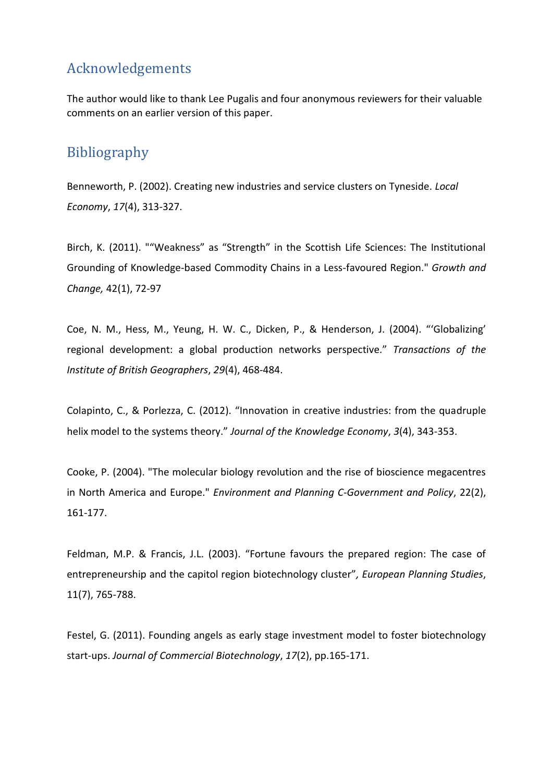# Acknowledgements

The author would like to thank Lee Pugalis and four anonymous reviewers for their valuable comments on an earlier version of this paper.

# Bibliography

Benneworth, P. (2002). Creating new industries and service clusters on Tyneside. *Local Economy*, *17*(4), 313-327.

Birch, K. (2011). ""Weakness" as "Strength" in the Scottish Life Sciences: The Institutional Grounding of Knowledge-based Commodity Chains in a Less-favoured Region." *Growth and Change,* 42(1), 72-97

Coe, N. M., Hess, M., Yeung, H. W. C., Dicken, P., & Henderson, J. (2004). "'Globalizing' regional development: a global production networks perspective." *Transactions of the Institute of British Geographers*, *29*(4), 468-484.

Colapinto, C., & Porlezza, C. (2012). "Innovation in creative industries: from the quadruple helix model to the systems theory." *Journal of the Knowledge Economy*, *3*(4), 343-353.

Cooke, P. (2004). "The molecular biology revolution and the rise of bioscience megacentres in North America and Europe." *Environment and Planning C-Government and Policy*, 22(2), 161-177.

Feldman, M.P. & Francis, J.L. (2003). "Fortune favours the prepared region: The case of entrepreneurship and the capitol region biotechnology cluster"*, European Planning Studies*, 11(7), 765-788.

Festel, G. (2011). Founding angels as early stage investment model to foster biotechnology start-ups. *Journal of Commercial Biotechnology*, *17*(2), pp.165-171.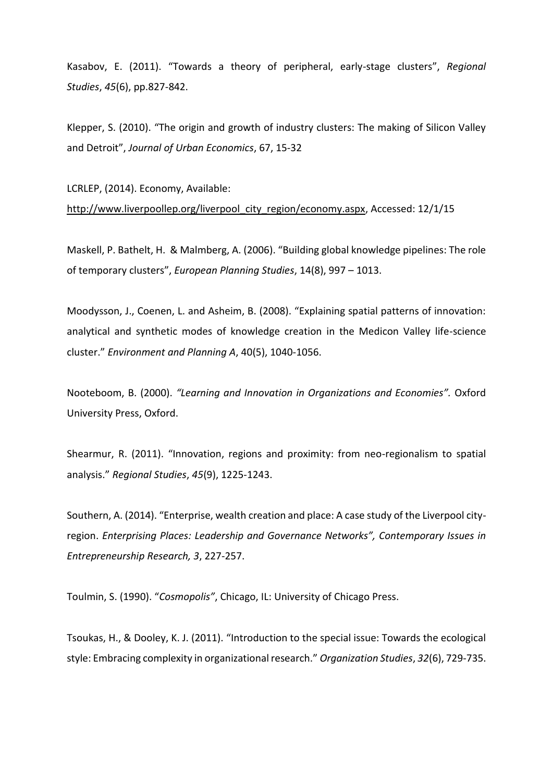Kasabov, E. (2011). "Towards a theory of peripheral, early-stage clusters", *Regional Studies*, *45*(6), pp.827-842.

Klepper, S. (2010). "The origin and growth of industry clusters: The making of Silicon Valley and Detroit", *Journal of Urban Economics*, 67, 15-32

LCRLEP, (2014). Economy, Available: [http://www.liverpoollep.org/liverpool\\_city\\_region/economy.aspx,](http://www.liverpoollep.org/liverpool_city_region/economy.aspx) Accessed: 12/1/15

Maskell, P. Bathelt, H. & Malmberg, A. (2006). "Building global knowledge pipelines: The role of temporary clusters", *European Planning Studies*, 14(8), 997 – 1013.

Moodysson, J., Coenen, L. and Asheim, B. (2008). "Explaining spatial patterns of innovation: analytical and synthetic modes of knowledge creation in the Medicon Valley life-science cluster." *Environment and Planning A*, 40(5), 1040-1056.

Nooteboom, B. (2000). *"Learning and Innovation in Organizations and Economies".* Oxford University Press, Oxford.

Shearmur, R. (2011). "Innovation, regions and proximity: from neo-regionalism to spatial analysis." *Regional Studies*, *45*(9), 1225-1243.

Southern, A. (2014). "Enterprise, wealth creation and place: A case study of the Liverpool cityregion. *Enterprising Places: Leadership and Governance Networks", Contemporary Issues in Entrepreneurship Research, 3*, 227-257.

Toulmin, S. (1990). "*Cosmopolis"*, Chicago, IL: University of Chicago Press.

Tsoukas, H., & Dooley, K. J. (2011). "Introduction to the special issue: Towards the ecological style: Embracing complexity in organizational research." *Organization Studies*, *32*(6), 729-735.